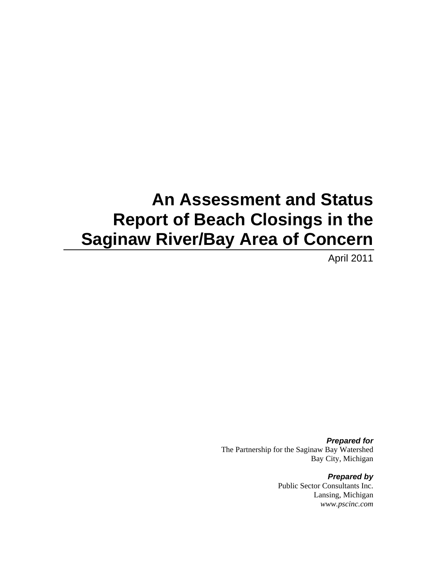# **An Assessment and Status Report of Beach Closings in the Saginaw River/Bay Area of Concern**

April 2011

*Prepared for*  The Partnership for the Saginaw Bay Watershed Bay City, Michigan

> *Prepared by*  Public Sector Consultants Inc. Lansing, Michigan *www.pscinc.com*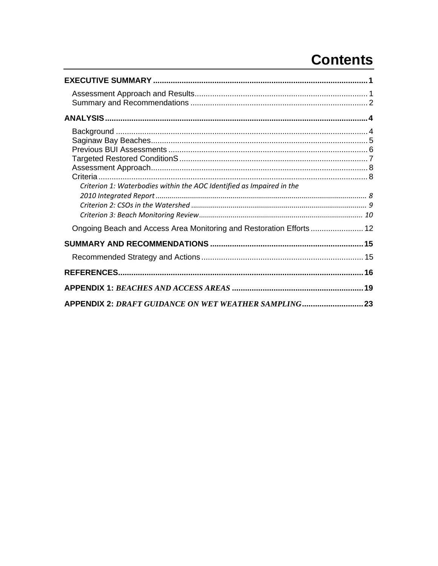# **Contents**

| Criterion 1: Waterbodies within the AOC Identified as Impaired in the |  |
|-----------------------------------------------------------------------|--|
| Ongoing Beach and Access Area Monitoring and Restoration Efforts 12   |  |
|                                                                       |  |
|                                                                       |  |
|                                                                       |  |
| APPENDIX 2: DRAFT GUIDANCE ON WET WEATHER SAMPLING23                  |  |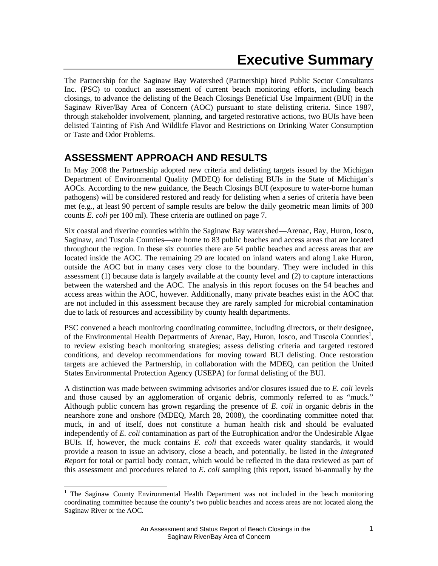The Partnership for the Saginaw Bay Watershed (Partnership) hired Public Sector Consultants Inc. (PSC) to conduct an assessment of current beach monitoring efforts, including beach closings, to advance the delisting of the Beach Closings Beneficial Use Impairment (BUI) in the Saginaw River/Bay Area of Concern (AOC) pursuant to state delisting criteria. Since 1987, through stakeholder involvement, planning, and targeted restorative actions, two BUIs have been delisted Tainting of Fish And Wildlife Flavor and Restrictions on Drinking Water Consumption or Taste and Odor Problems.

### **ASSESSMENT APPROACH AND RESULTS**

In May 2008 the Partnership adopted new criteria and delisting targets issued by the Michigan Department of Environmental Quality (MDEQ) for delisting BUIs in the State of Michigan's AOCs. According to the new guidance, the Beach Closings BUI (exposure to water-borne human pathogens) will be considered restored and ready for delisting when a series of criteria have been met (e.g., at least 90 percent of sample results are below the daily geometric mean limits of 300 counts *E. coli* per 100 ml). These criteria are outlined on page 7.

Six coastal and riverine counties within the Saginaw Bay watershed—Arenac, Bay, Huron, Iosco, Saginaw, and Tuscola Counties—are home to 83 public beaches and access areas that are located throughout the region. In these six counties there are 54 public beaches and access areas that are located inside the AOC. The remaining 29 are located on inland waters and along Lake Huron, outside the AOC but in many cases very close to the boundary. They were included in this assessment (1) because data is largely available at the county level and (2) to capture interactions between the watershed and the AOC. The analysis in this report focuses on the 54 beaches and access areas within the AOC, however. Additionally, many private beaches exist in the AOC that are not included in this assessment because they are rarely sampled for microbial contamination due to lack of resources and accessibility by county health departments.

PSC convened a beach monitoring coordinating committee, including directors, or their designee, of the Environmental Health Departments of Arenac, Bay, Huron, Iosco, and Tuscola Counties<sup>1</sup>, to review existing beach monitoring strategies; assess delisting criteria and targeted restored conditions, and develop recommendations for moving toward BUI delisting. Once restoration targets are achieved the Partnership, in collaboration with the MDEQ, can petition the United States Environmental Protection Agency (USEPA) for formal delisting of the BUI.

A distinction was made between swimming advisories and/or closures issued due to *E. coli* levels and those caused by an agglomeration of organic debris, commonly referred to as "muck." Although public concern has grown regarding the presence of *E. coli* in organic debris in the nearshore zone and onshore (MDEQ, March 28, 2008), the coordinating committee noted that muck, in and of itself, does not constitute a human health risk and should be evaluated independently of *E. coli* contamination as part of the Eutrophication and/or the Undesirable Algae BUIs. If, however, the muck contains *E. coli* that exceeds water quality standards, it would provide a reason to issue an advisory, close a beach, and potentially, be listed in the *Integrated Report* for total or partial body contact, which would be reflected in the data reviewed as part of this assessment and procedures related to *E. coli* sampling (this report, issued bi-annually by the

<sup>&</sup>lt;sup>1</sup> The Saginaw County Environmental Health Department was not included in the beach monitoring coordinating committee because the county's two public beaches and access areas are not located along the Saginaw River or the AOC.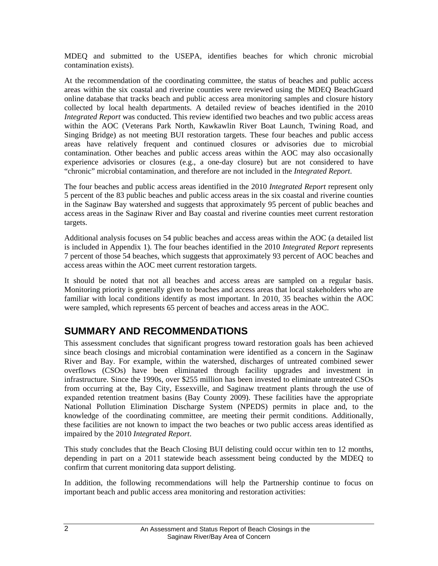MDEQ and submitted to the USEPA, identifies beaches for which chronic microbial contamination exists).

At the recommendation of the coordinating committee, the status of beaches and public access areas within the six coastal and riverine counties were reviewed using the MDEQ BeachGuard online database that tracks beach and public access area monitoring samples and closure history collected by local health departments. A detailed review of beaches identified in the 2010 *Integrated Report* was conducted. This review identified two beaches and two public access areas within the AOC (Veterans Park North, Kawkawlin River Boat Launch, Twining Road, and Singing Bridge) as not meeting BUI restoration targets. These four beaches and public access areas have relatively frequent and continued closures or advisories due to microbial contamination. Other beaches and public access areas within the AOC may also occasionally experience advisories or closures (e.g., a one-day closure) but are not considered to have "chronic" microbial contamination, and therefore are not included in the *Integrated Report*.

The four beaches and public access areas identified in the 2010 *Integrated Report* represent only 5 percent of the 83 public beaches and public access areas in the six coastal and riverine counties in the Saginaw Bay watershed and suggests that approximately 95 percent of public beaches and access areas in the Saginaw River and Bay coastal and riverine counties meet current restoration targets.

Additional analysis focuses on 54 public beaches and access areas within the AOC (a detailed list is included in Appendix 1). The four beaches identified in the 2010 *Integrated Report* represents 7 percent of those 54 beaches, which suggests that approximately 93 percent of AOC beaches and access areas within the AOC meet current restoration targets.

It should be noted that not all beaches and access areas are sampled on a regular basis. Monitoring priority is generally given to beaches and access areas that local stakeholders who are familiar with local conditions identify as most important. In 2010, 35 beaches within the AOC were sampled, which represents 65 percent of beaches and access areas in the AOC.

### **SUMMARY AND RECOMMENDATIONS**

This assessment concludes that significant progress toward restoration goals has been achieved since beach closings and microbial contamination were identified as a concern in the Saginaw River and Bay. For example, within the watershed, discharges of untreated combined sewer overflows (CSOs) have been eliminated through facility upgrades and investment in infrastructure. Since the 1990s, over \$255 million has been invested to eliminate untreated CSOs from occurring at the, Bay City, Essexville, and Saginaw treatment plants through the use of expanded retention treatment basins (Bay County 2009). These facilities have the appropriate National Pollution Elimination Discharge System (NPEDS) permits in place and, to the knowledge of the coordinating committee, are meeting their permit conditions. Additionally, these facilities are not known to impact the two beaches or two public access areas identified as impaired by the 2010 *Integrated Report*.

This study concludes that the Beach Closing BUI delisting could occur within ten to 12 months, depending in part on a 2011 statewide beach assessment being conducted by the MDEQ to confirm that current monitoring data support delisting.

In addition, the following recommendations will help the Partnership continue to focus on important beach and public access area monitoring and restoration activities: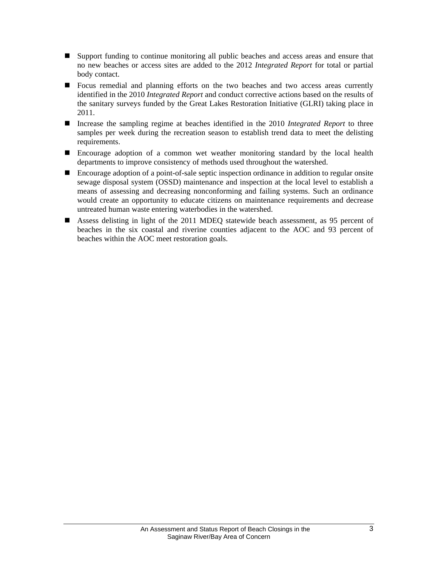- Support funding to continue monitoring all public beaches and access areas and ensure that no new beaches or access sites are added to the 2012 *Integrated Report* for total or partial body contact.
- Focus remedial and planning efforts on the two beaches and two access areas currently identified in the 2010 *Integrated Report* and conduct corrective actions based on the results of the sanitary surveys funded by the Great Lakes Restoration Initiative (GLRI) taking place in 2011.
- Increase the sampling regime at beaches identified in the 2010 *Integrated Report* to three samples per week during the recreation season to establish trend data to meet the delisting requirements.
- Encourage adoption of a common wet weather monitoring standard by the local health departments to improve consistency of methods used throughout the watershed.
- Encourage adoption of a point-of-sale septic inspection ordinance in addition to regular onsite sewage disposal system (OSSD) maintenance and inspection at the local level to establish a means of assessing and decreasing nonconforming and failing systems. Such an ordinance would create an opportunity to educate citizens on maintenance requirements and decrease untreated human waste entering waterbodies in the watershed.
- Assess delisting in light of the 2011 MDEQ statewide beach assessment, as 95 percent of beaches in the six coastal and riverine counties adjacent to the AOC and 93 percent of beaches within the AOC meet restoration goals.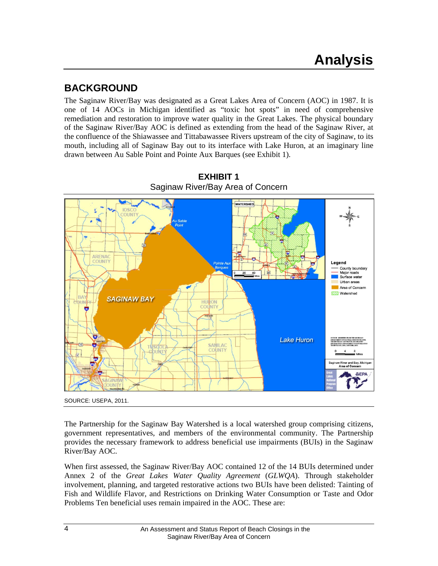### **BACKGROUND**

The Saginaw River/Bay was designated as a Great Lakes Area of Concern (AOC) in 1987. It is one of 14 AOCs in Michigan identified as "toxic hot spots" in need of comprehensive remediation and restoration to improve water quality in the Great Lakes. The physical boundary of the Saginaw River/Bay AOC is defined as extending from the head of the Saginaw River, at the confluence of the Shiawassee and Tittabawassee Rivers upstream of the city of Saginaw, to its mouth, including all of Saginaw Bay out to its interface with Lake Huron, at an imaginary line drawn between Au Sable Point and Pointe Aux Barques (see Exhibit 1).



**EXHIBIT 1** Saginaw River/Bay Area of Concern

SOURCE: USEPA, 2011.

The Partnership for the Saginaw Bay Watershed is a local watershed group comprising citizens, government representatives, and members of the environmental community. The Partnership provides the necessary framework to address beneficial use impairments (BUIs) in the Saginaw River/Bay AOC.

When first assessed, the Saginaw River/Bay AOC contained 12 of the 14 BUIs determined under Annex 2 of the *Great Lakes Water Quality Agreement* (*GLWQA*). Through stakeholder involvement, planning, and targeted restorative actions two BUIs have been delisted: Tainting of Fish and Wildlife Flavor, and Restrictions on Drinking Water Consumption or Taste and Odor Problems Ten beneficial uses remain impaired in the AOC. These are: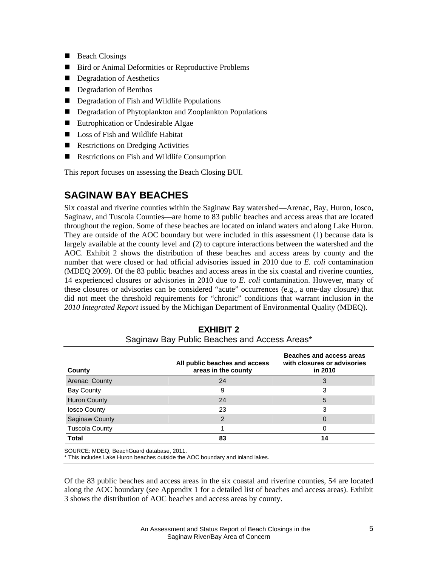- Beach Closings
- Bird or Animal Deformities or Reproductive Problems
- Degradation of Aesthetics
- Degradation of Benthos
- Degradation of Fish and Wildlife Populations
- Degradation of Phytoplankton and Zooplankton Populations
- Eutrophication or Undesirable Algae
- Loss of Fish and Wildlife Habitat
- Restrictions on Dredging Activities
- Restrictions on Fish and Wildlife Consumption

This report focuses on assessing the Beach Closing BUI.

### **SAGINAW BAY BEACHES**

Six coastal and riverine counties within the Saginaw Bay watershed—Arenac, Bay, Huron, Iosco, Saginaw, and Tuscola Counties—are home to 83 public beaches and access areas that are located throughout the region. Some of these beaches are located on inland waters and along Lake Huron. They are outside of the AOC boundary but were included in this assessment (1) because data is largely available at the county level and (2) to capture interactions between the watershed and the AOC. Exhibit 2 shows the distribution of these beaches and access areas by county and the number that were closed or had official advisories issued in 2010 due to *E. coli* contamination (MDEQ 2009). Of the 83 public beaches and access areas in the six coastal and riverine counties, 14 experienced closures or advisories in 2010 due to *E. coli* contamination. However, many of these closures or advisories can be considered "acute" occurrences (e.g., a one-day closure) that did not meet the threshold requirements for "chronic" conditions that warrant inclusion in the *2010 Integrated Report* issued by the Michigan Department of Environmental Quality (MDEQ).

| County                | All public beaches and access<br>areas in the county | <b>Beaches and access areas</b><br>with closures or advisories<br>in 2010 |
|-----------------------|------------------------------------------------------|---------------------------------------------------------------------------|
| Arenac County         | 24                                                   | 3                                                                         |
| <b>Bay County</b>     | 9                                                    | 3                                                                         |
| <b>Huron County</b>   | 24                                                   | 5                                                                         |
| losco County          | 23                                                   | 3                                                                         |
| Saginaw County        | 2                                                    | 0                                                                         |
| <b>Tuscola County</b> |                                                      | 0                                                                         |
| <b>Total</b>          | 83                                                   | 14                                                                        |

**EXHIBIT 2**  Saginaw Bay Public Beaches and Access Areas\*

SOURCE: MDEQ, BeachGuard database, 2011.

\* This includes Lake Huron beaches outside the AOC boundary and inland lakes.

Of the 83 public beaches and access areas in the six coastal and riverine counties, 54 are located along the AOC boundary (see Appendix 1 for a detailed list of beaches and access areas). Exhibit 3 shows the distribution of AOC beaches and access areas by county.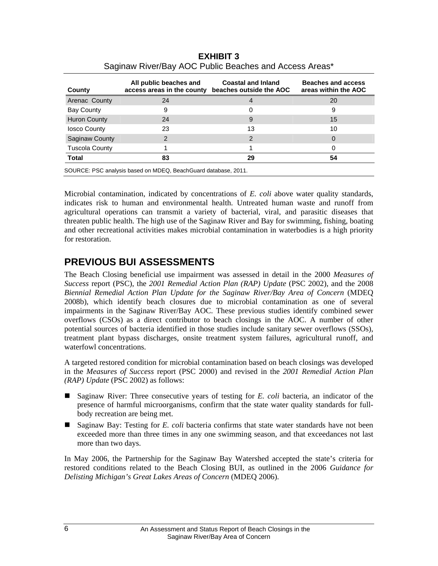| County                | All public beaches and<br>access areas in the county beaches outside the AOC | <b>Coastal and Inland</b> | Beaches and access<br>areas within the AOC |
|-----------------------|------------------------------------------------------------------------------|---------------------------|--------------------------------------------|
| Arenac County         | 24                                                                           |                           | 20                                         |
| Bay County            | 9                                                                            | O                         | 9                                          |
| <b>Huron County</b>   | 24                                                                           | 9                         | 15                                         |
| losco County          | 23                                                                           | 13                        | 10                                         |
| <b>Saginaw County</b> | 2                                                                            | 2                         | 0                                          |
| <b>Tuscola County</b> |                                                                              |                           |                                            |
| <b>Total</b>          | 83                                                                           | 29                        | 54                                         |

**EXHIBIT 3**  Saginaw River/Bay AOC Public Beaches and Access Areas\*

Microbial contamination, indicated by concentrations of *E. coli* above water quality standards, indicates risk to human and environmental health. Untreated human waste and runoff from agricultural operations can transmit a variety of bacterial, viral, and parasitic diseases that threaten public health. The high use of the Saginaw River and Bay for swimming, fishing, boating and other recreational activities makes microbial contamination in waterbodies is a high priority for restoration.

# **PREVIOUS BUI ASSESSMENTS**

The Beach Closing beneficial use impairment was assessed in detail in the 2000 *Measures of Success* report (PSC), the *2001 Remedial Action Plan (RAP) Update* (PSC 2002), and the 2008 *Biennial Remedial Action Plan Update for the Saginaw River/Bay Area of Concern* (MDEQ 2008b), which identify beach closures due to microbial contamination as one of several impairments in the Saginaw River/Bay AOC. These previous studies identify combined sewer overflows (CSOs) as a direct contributor to beach closings in the AOC. A number of other potential sources of bacteria identified in those studies include sanitary sewer overflows (SSOs), treatment plant bypass discharges, onsite treatment system failures, agricultural runoff, and waterfowl concentrations.

A targeted restored condition for microbial contamination based on beach closings was developed in the *Measures of Success* report (PSC 2000) and revised in the *2001 Remedial Action Plan (RAP) Update* (PSC 2002) as follows:

- Saginaw River: Three consecutive years of testing for *E. coli* bacteria, an indicator of the presence of harmful microorganisms, confirm that the state water quality standards for fullbody recreation are being met.
- Saginaw Bay: Testing for *E. coli* bacteria confirms that state water standards have not been exceeded more than three times in any one swimming season, and that exceedances not last more than two days.

In May 2006, the Partnership for the Saginaw Bay Watershed accepted the state's criteria for restored conditions related to the Beach Closing BUI, as outlined in the 2006 *Guidance for Delisting Michigan's Great Lakes Areas of Concern* (MDEQ 2006).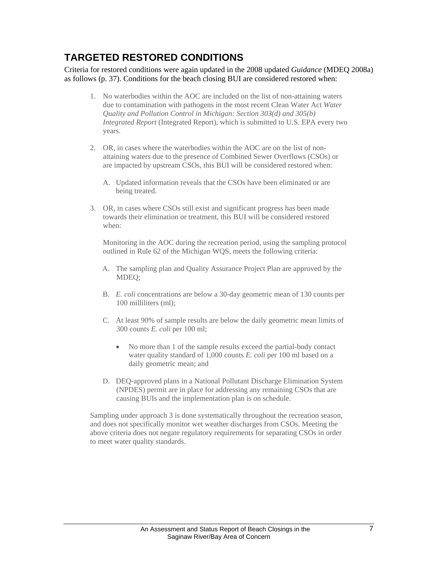## **TARGETED RESTORED CONDITIONS**

Criteria for restored conditions were again updated in the 2008 updated *Guidance* (MDEQ 2008a) as follows (p. 37). Conditions for the beach closing BUI are considered restored when:

- 1. No waterbodies within the AOC are included on the list of non-attaining waters due to contamination with pathogens in the most recent Clean Water Act *Water Quality and Pollution Control in Michigan: Section 303(d) and 305(b) Integrated Report* (Integrated Report), which is submitted to U.S. EPA every two years.
- 2. OR, in cases where the waterbodies within the AOC are on the list of nonattaining waters due to the presence of Combined Sewer Overflows (CSOs) or are impacted by upstream CSOs, this BUI will be considered restored when:
	- A. Updated information reveals that the CSOs have been eliminated or are being treated.
- 3. OR, in cases where CSOs still exist and significant progress has been made towards their elimination or treatment, this BUI will be considered restored when:

Monitoring in the AOC during the recreation period, using the sampling protocol outlined in Rule 62 of the Michigan WQS, meets the following criteria:

- A. The sampling plan and Quality Assurance Project Plan are approved by the MDEQ;
- B. *E. coli* concentrations are below a 30-day geometric mean of 130 counts per 100 milliliters (ml);
- C. At least 90% of sample results are below the daily geometric mean limits of 300 counts *E. coli* per 100 ml;
	- No more than 1 of the sample results exceed the partial-body contact water quality standard of 1,000 counts *E. coli* per 100 ml based on a daily geometric mean; and
- D. DEQ-approved plans in a National Pollutant Discharge Elimination System (NPDES) permit are in place for addressing any remaining CSOs that are causing BUIs and the implementation plan is on schedule.

Sampling under approach 3 is done systematically throughout the recreation season, and does not specifically monitor wet weather discharges from CSOs. Meeting the above criteria does not negate regulatory requirements for separating CSOs in order to meet water quality standards.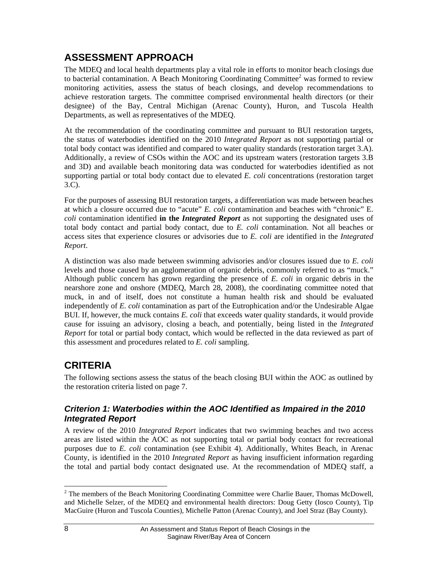# **ASSESSMENT APPROACH**

The MDEQ and local health departments play a vital role in efforts to monitor beach closings due to bacterial contamination. A Beach Monitoring Coordinating Committee<sup>2</sup> was formed to review monitoring activities, assess the status of beach closings, and develop recommendations to achieve restoration targets. The committee comprised environmental health directors (or their designee) of the Bay, Central Michigan (Arenac County), Huron, and Tuscola Health Departments, as well as representatives of the MDEQ.

At the recommendation of the coordinating committee and pursuant to BUI restoration targets, the status of waterbodies identified on the 2010 *Integrated Report* as not supporting partial or total body contact was identified and compared to water quality standards (restoration target 3.A). Additionally, a review of CSOs within the AOC and its upstream waters (restoration targets 3.B and 3D) and available beach monitoring data was conducted for waterbodies identified as not supporting partial or total body contact due to elevated *E. coli* concentrations (restoration target 3.C).

For the purposes of assessing BUI restoration targets, a differentiation was made between beaches at which a closure occurred due to "acute" *E. coli* contamination and beaches with "chronic" E. *coli* contamination identified **in the** *Integrated Report* as not supporting the designated uses of total body contact and partial body contact, due to *E. coli* contamination. Not all beaches or access sites that experience closures or advisories due to *E. coli* are identified in the *Integrated Report*.

A distinction was also made between swimming advisories and/or closures issued due to *E. coli* levels and those caused by an agglomeration of organic debris, commonly referred to as "muck." Although public concern has grown regarding the presence of *E. coli* in organic debris in the nearshore zone and onshore (MDEQ, March 28, 2008), the coordinating committee noted that muck, in and of itself, does not constitute a human health risk and should be evaluated independently of *E. coli* contamination as part of the Eutrophication and/or the Undesirable Algae BUI. If, however, the muck contains *E. coli* that exceeds water quality standards, it would provide cause for issuing an advisory, closing a beach, and potentially, being listed in the *Integrated Report* for total or partial body contact, which would be reflected in the data reviewed as part of this assessment and procedures related to *E. coli* sampling.

# **CRITERIA**

The following sections assess the status of the beach closing BUI within the AOC as outlined by the restoration criteria listed on page 7.

#### *Criterion 1: Waterbodies within the AOC Identified as Impaired in the 2010 Integrated Report*

A review of the 2010 *Integrated Report* indicates that two swimming beaches and two access areas are listed within the AOC as not supporting total or partial body contact for recreational purposes due to *E. coli* contamination (see Exhibit 4). Additionally, Whites Beach, in Arenac County, is identified in the 2010 *Integrated Report* as having insufficient information regarding the total and partial body contact designated use. At the recommendation of MDEQ staff, a

<sup>&</sup>lt;sup>2</sup> The members of the Beach Monitoring Coordinating Committee were Charlie Bauer, Thomas McDowell, and Michelle Selzer, of the MDEQ and environmental health directors: Doug Getty (Iosco County), Tip MacGuire (Huron and Tuscola Counties), Michelle Patton (Arenac County), and Joel Straz (Bay County).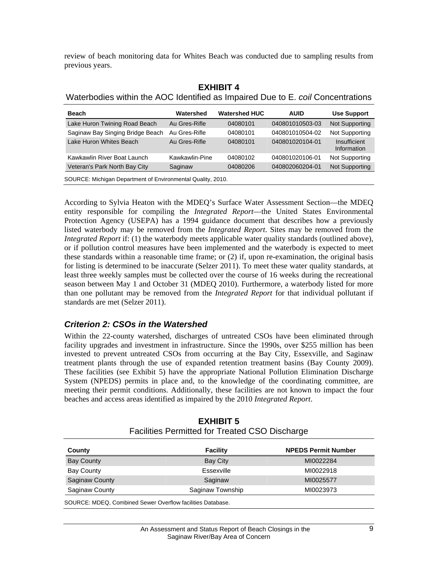review of beach monitoring data for Whites Beach was conducted due to sampling results from previous years.

| EXHIBII 4                                                                       |  |              |  |  |
|---------------------------------------------------------------------------------|--|--------------|--|--|
| Waterbodies within the AOC Identified as Impaired Due to E. coil Concentrations |  |              |  |  |
|                                                                                 |  | $\mathbf{u}$ |  |  |

**EXHIBIT 4** 

| Beach                                                       | Watershed      | <b>Watershed HUC</b> | <b>AUID</b>     | <b>Use Support</b>          |
|-------------------------------------------------------------|----------------|----------------------|-----------------|-----------------------------|
| Lake Huron Twining Road Beach                               | Au Gres-Rifle  | 04080101             | 040801010503-03 | Not Supporting              |
| Saginaw Bay Singing Bridge Beach                            | Au Gres-Rifle  | 04080101             | 040801010504-02 | Not Supporting              |
| Lake Huron Whites Beach                                     | Au Gres-Rifle  | 04080101             | 040801020104-01 | Insufficient<br>Information |
| Kawkawlin River Boat Launch                                 | Kawkawlin-Pine | 04080102             | 040801020106-01 | Not Supporting              |
| Veteran's Park North Bay City                               | Saginaw        | 04080206             | 040802060204-01 | Not Supporting              |
| SOURCE: Michigan Department of Environmental Quality, 2010. |                |                      |                 |                             |

According to Sylvia Heaton with the MDEQ's Surface Water Assessment Section—the MDEQ entity responsible for compiling the *Integrated Report*—the United States Environmental Protection Agency (USEPA) has a 1994 guidance document that describes how a previously listed waterbody may be removed from the *Integrated Report*. Sites may be removed from the *Integrated Report* if: (1) the waterbody meets applicable water quality standards (outlined above), or if pollution control measures have been implemented and the waterbody is expected to meet these standards within a reasonable time frame; or (2) if, upon re-examination, the original basis for listing is determined to be inaccurate (Selzer 2011). To meet these water quality standards, at least three weekly samples must be collected over the course of 16 weeks during the recreational season between May 1 and October 31 (MDEQ 2010). Furthermore, a waterbody listed for more than one pollutant may be removed from the *Integrated Report* for that individual pollutant if standards are met (Selzer 2011).

#### *Criterion 2: CSOs in the Watershed*

Within the 22-county watershed, discharges of untreated CSOs have been eliminated through facility upgrades and investment in infrastructure. Since the 1990s, over \$255 million has been invested to prevent untreated CSOs from occurring at the Bay City, Essexville, and Saginaw treatment plants through the use of expanded retention treatment basins (Bay County 2009). These facilities (see Exhibit 5) have the appropriate National Pollution Elimination Discharge System (NPEDS) permits in place and, to the knowledge of the coordinating committee, are meeting their permit conditions. Additionally, these facilities are not known to impact the four beaches and access areas identified as impaired by the 2010 *Integrated Report*.

| County                | Facility         | <b>NPEDS Permit Number</b> |
|-----------------------|------------------|----------------------------|
| <b>Bay County</b>     | Bay City         | MI0022284                  |
| Bay County            | Essexville       | MI0022918                  |
| <b>Saginaw County</b> | Saginaw          | MI0025577                  |
| Saginaw County        | Saginaw Township | MI0023973                  |

#### **EXHIBIT 5**  Facilities Permitted for Treated CSO Discharge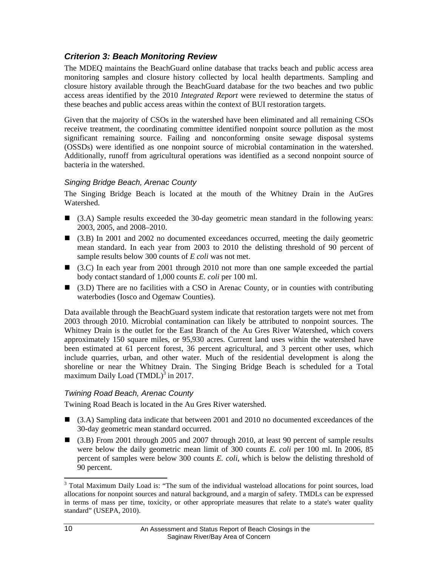#### *Criterion 3: Beach Monitoring Review*

The MDEQ maintains the BeachGuard online database that tracks beach and public access area monitoring samples and closure history collected by local health departments. Sampling and closure history available through the BeachGuard database for the two beaches and two public access areas identified by the 2010 *Integrated Report* were reviewed to determine the status of these beaches and public access areas within the context of BUI restoration targets.

Given that the majority of CSOs in the watershed have been eliminated and all remaining CSOs receive treatment, the coordinating committee identified nonpoint source pollution as the most significant remaining source. Failing and nonconforming onsite sewage disposal systems (OSSDs) were identified as one nonpoint source of microbial contamination in the watershed. Additionally, runoff from agricultural operations was identified as a second nonpoint source of bacteria in the watershed.

#### *Singing Bridge Beach, Arenac County*

The Singing Bridge Beach is located at the mouth of the Whitney Drain in the AuGres Watershed.

- (3.A) Sample results exceeded the 30-day geometric mean standard in the following years: 2003, 2005, and 2008–2010.
- (3.B) In 2001 and 2002 no documented exceedances occurred, meeting the daily geometric mean standard. In each year from 2003 to 2010 the delisting threshold of 90 percent of sample results below 300 counts of *E coli* was not met.
- (3.C) In each year from 2001 through 2010 not more than one sample exceeded the partial body contact standard of 1,000 counts *E. coli* per 100 ml.
- $\Box$  (3.D) There are no facilities with a CSO in Arenac County, or in counties with contributing waterbodies (Iosco and Ogemaw Counties).

Data available through the BeachGuard system indicate that restoration targets were not met from 2003 through 2010. Microbial contamination can likely be attributed to nonpoint sources. The Whitney Drain is the outlet for the East Branch of the Au Gres River Watershed, which covers approximately 150 square miles, or 95,930 acres. Current land uses within the watershed have been estimated at 61 percent forest, 36 percent agricultural, and 3 percent other uses, which include quarries, urban, and other water. Much of the residential development is along the shoreline or near the Whitney Drain. The Singing Bridge Beach is scheduled for a Total maximum Daily Load  $(TMDL)^3$  in 2017.

#### *Twining Road Beach, Arenac County*

Twining Road Beach is located in the Au Gres River watershed.

- (3.A) Sampling data indicate that between 2001 and 2010 no documented exceedances of the 30-day geometric mean standard occurred.
- (3.B) From 2001 through 2005 and 2007 through 2010, at least 90 percent of sample results were below the daily geometric mean limit of 300 counts *E. coli* per 100 ml. In 2006, 85 percent of samples were below 300 counts *E. coli*, which is below the delisting threshold of 90 percent.

l

<sup>&</sup>lt;sup>3</sup> Total Maximum Daily Load is: "The sum of the individual wasteload allocations for point sources, load allocations for nonpoint sources and natural background, and a margin of safety. TMDLs can be expressed in terms of mass per time, toxicity, or other appropriate measures that relate to a state's water quality standard" (USEPA, 2010).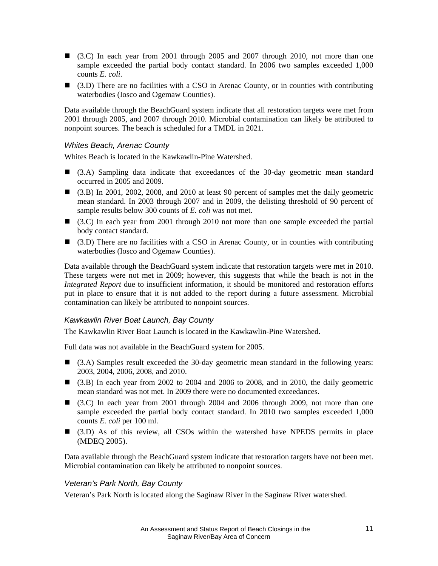- $\Box$  (3.C) In each year from 2001 through 2005 and 2007 through 2010, not more than one sample exceeded the partial body contact standard. In 2006 two samples exceeded 1,000 counts *E. coli*.
- (3.D) There are no facilities with a CSO in Arenac County, or in counties with contributing waterbodies (Iosco and Ogemaw Counties).

Data available through the BeachGuard system indicate that all restoration targets were met from 2001 through 2005, and 2007 through 2010. Microbial contamination can likely be attributed to nonpoint sources. The beach is scheduled for a TMDL in 2021.

#### *Whites Beach, Arenac County*

Whites Beach is located in the Kawkawlin-Pine Watershed.

- (3.A) Sampling data indicate that exceedances of the 30-day geometric mean standard occurred in 2005 and 2009.
- (3.B) In 2001, 2002, 2008, and 2010 at least 90 percent of samples met the daily geometric mean standard. In 2003 through 2007 and in 2009, the delisting threshold of 90 percent of sample results below 300 counts of *E. coli* was not met.
- (3.C) In each year from 2001 through 2010 not more than one sample exceeded the partial body contact standard.
- $\Box$  (3.D) There are no facilities with a CSO in Arenac County, or in counties with contributing waterbodies (Iosco and Ogemaw Counties).

Data available through the BeachGuard system indicate that restoration targets were met in 2010. These targets were not met in 2009; however, this suggests that while the beach is not in the *Integrated Report* due to insufficient information, it should be monitored and restoration efforts put in place to ensure that it is not added to the report during a future assessment. Microbial contamination can likely be attributed to nonpoint sources.

#### *Kawkawlin River Boat Launch, Bay County*

The Kawkawlin River Boat Launch is located in the Kawkawlin-Pine Watershed.

Full data was not available in the BeachGuard system for 2005.

- (3.A) Samples result exceeded the 30-day geometric mean standard in the following years: 2003, 2004, 2006, 2008, and 2010.
- (3.B) In each year from 2002 to 2004 and 2006 to 2008, and in 2010, the daily geometric mean standard was not met. In 2009 there were no documented exceedances.
- $\Box$  (3.C) In each year from 2001 through 2004 and 2006 through 2009, not more than one sample exceeded the partial body contact standard. In 2010 two samples exceeded 1,000 counts *E. coli* per 100 ml.
- (3.D) As of this review, all CSOs within the watershed have NPEDS permits in place (MDEQ 2005).

Data available through the BeachGuard system indicate that restoration targets have not been met. Microbial contamination can likely be attributed to nonpoint sources.

#### *Veteran's Park North, Bay County*

Veteran's Park North is located along the Saginaw River in the Saginaw River watershed.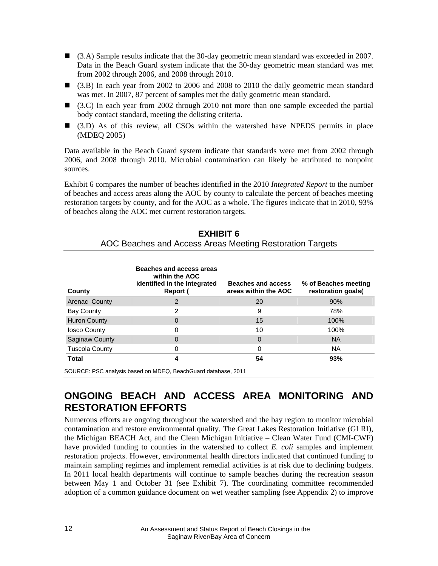- (3.A) Sample results indicate that the 30-day geometric mean standard was exceeded in 2007. Data in the Beach Guard system indicate that the 30-day geometric mean standard was met from 2002 through 2006, and 2008 through 2010.
- (3.B) In each year from 2002 to 2006 and 2008 to 2010 the daily geometric mean standard was met. In 2007, 87 percent of samples met the daily geometric mean standard.
- (3.C) In each year from 2002 through 2010 not more than one sample exceeded the partial body contact standard, meeting the delisting criteria.
- (3.D) As of this review, all CSOs within the watershed have NPEDS permits in place (MDEQ 2005)

Data available in the Beach Guard system indicate that standards were met from 2002 through 2006, and 2008 through 2010. Microbial contamination can likely be attributed to nonpoint sources.

Exhibit 6 compares the number of beaches identified in the 2010 *Integrated Report* to the number of beaches and access areas along the AOC by county to calculate the percent of beaches meeting restoration targets by county, and for the AOC as a whole. The figures indicate that in 2010, 93% of beaches along the AOC met current restoration targets.

| County                | Beaches and access areas<br>within the AOC<br>identified in the Integrated<br>Report ( | Beaches and access<br>areas within the AOC | % of Beaches meeting<br>restoration goals( |
|-----------------------|----------------------------------------------------------------------------------------|--------------------------------------------|--------------------------------------------|
| Arenac County         | 2                                                                                      | 20                                         | 90%                                        |
| <b>Bay County</b>     | 2                                                                                      | 9                                          | 78%                                        |
| <b>Huron County</b>   | 0                                                                                      | 15                                         | 100%                                       |
| losco County          | 0                                                                                      | 10                                         | 100%                                       |
| Saginaw County        | 0                                                                                      | $\Omega$                                   | <b>NA</b>                                  |
| <b>Tuscola County</b> | 0                                                                                      | 0                                          | NA.                                        |
| <b>Total</b>          |                                                                                        | 54                                         | 93%                                        |

**EXHIBIT 6**  AOC Beaches and Access Areas Meeting Restoration Targets

SOURCE: PSC analysis based on MDEQ, BeachGuard database, 2011

### **ONGOING BEACH AND ACCESS AREA MONITORING AND RESTORATION EFFORTS**

Numerous efforts are ongoing throughout the watershed and the bay region to monitor microbial contamination and restore environmental quality. The Great Lakes Restoration Initiative (GLRI), the Michigan BEACH Act, and the Clean Michigan Initiative – Clean Water Fund (CMI-CWF) have provided funding to counties in the watershed to collect *E. coli* samples and implement restoration projects. However, environmental health directors indicated that continued funding to maintain sampling regimes and implement remedial activities is at risk due to declining budgets. In 2011 local health departments will continue to sample beaches during the recreation season between May 1 and October 31 (see Exhibit 7). The coordinating committee recommended adoption of a common guidance document on wet weather sampling (see Appendix 2) to improve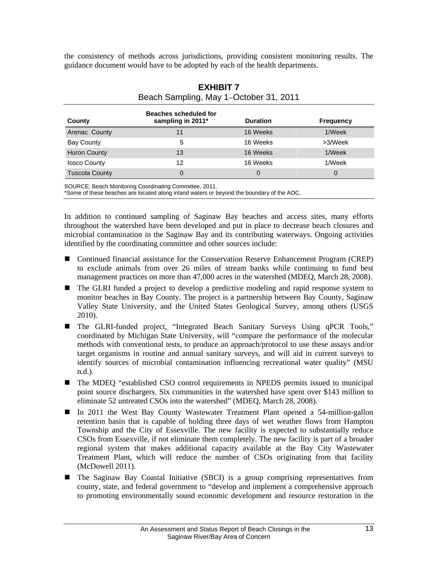the consistency of methods across jurisdictions, providing consistent monitoring results. The guidance document would have to be adopted by each of the health departments.

| County                | <b>Beaches scheduled for</b><br>sampling in 2011* | <b>Duration</b> | <b>Frequency</b> |
|-----------------------|---------------------------------------------------|-----------------|------------------|
| Arenac County         | 11                                                | 16 Weeks        | 1/Week           |
| <b>Bay County</b>     | 5                                                 | 16 Weeks        | >3/Week          |
| <b>Huron County</b>   | 13                                                | 16 Weeks        | 1/Week           |
| <b>losco County</b>   | 12                                                | 16 Weeks        | 1/Week           |
| <b>Tuscola County</b> | 0                                                 | 0               | 0                |

#### **EXHIBIT 7**  Beach Sampling, May 1–October 31, 2011

SOURCE: Beach Monitoring Coordinating Committee, 2011.

\*Some of these beaches are located along inland waters or beyond the boundary of the AOC.

In addition to continued sampling of Saginaw Bay beaches and access sites, many efforts throughout the watershed have been developed and put in place to decrease beach closures and microbial contamination in the Saginaw Bay and its contributing waterways. Ongoing activities identified by the coordinating committee and other sources include:

- Continued financial assistance for the Conservation Reserve Enhancement Program (CREP) to exclude animals from over 26 miles of stream banks while continuing to fund best management practices on more than 47,000 acres in the watershed (MDEQ, March 28, 2008).
- The GLRI funded a project to develop a predictive modeling and rapid response system to monitor beaches in Bay County. The project is a partnership between Bay County, Saginaw Valley State University, and the United States Geological Survey, among others (USGS 2010).
- The GLRI-funded project, "Integrated Beach Sanitary Surveys Using qPCR Tools," coordinated by Michigan State University, will "compare the performance of the molecular methods with conventional tests, to produce an approach/protocol to use these assays and/or target organisms in routine and annual sanitary surveys, and will aid in current surveys to identify sources of microbial contamination influencing recreational water quality" (MSU n.d.).
- The MDEQ "established CSO control requirements in NPEDS permits issued to municipal point source dischargers. Six communities in the watershed have spent over \$143 million to eliminate 52 untreated CSOs into the watershed" (MDEQ, March 28, 2008).
- In 2011 the West Bay County Wastewater Treatment Plant opened a 54-million-gallon retention basin that is capable of holding three days of wet weather flows from Hampton Township and the City of Essexville. The new facility is expected to substantially reduce CSOs from Essexville, if not eliminate them completely. The new facility is part of a broader regional system that makes additional capacity available at the Bay City Wastewater Treatment Plant, which will reduce the number of CSOs originating from that facility (McDowell 2011).
- The Saginaw Bay Coastal Initiative (SBCI) is a group comprising representatives from county, state, and federal government to "develop and implement a comprehensive approach to promoting environmentally sound economic development and resource restoration in the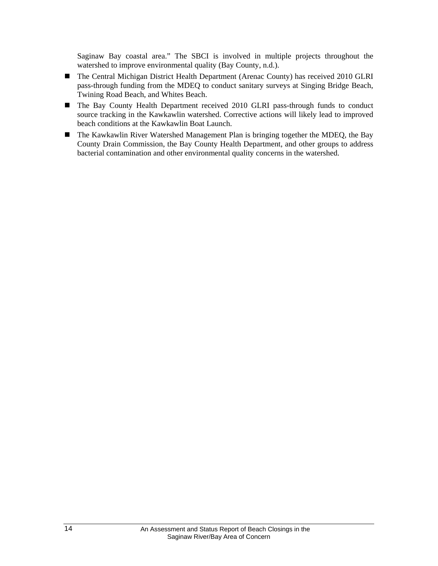Saginaw Bay coastal area." The SBCI is involved in multiple projects throughout the watershed to improve environmental quality (Bay County, n.d.).

- The Central Michigan District Health Department (Arenac County) has received 2010 GLRI pass-through funding from the MDEQ to conduct sanitary surveys at Singing Bridge Beach, Twining Road Beach, and Whites Beach.
- The Bay County Health Department received 2010 GLRI pass-through funds to conduct source tracking in the Kawkawlin watershed. Corrective actions will likely lead to improved beach conditions at the Kawkawlin Boat Launch.
- The Kawkawlin River Watershed Management Plan is bringing together the MDEQ, the Bay County Drain Commission, the Bay County Health Department, and other groups to address bacterial contamination and other environmental quality concerns in the watershed.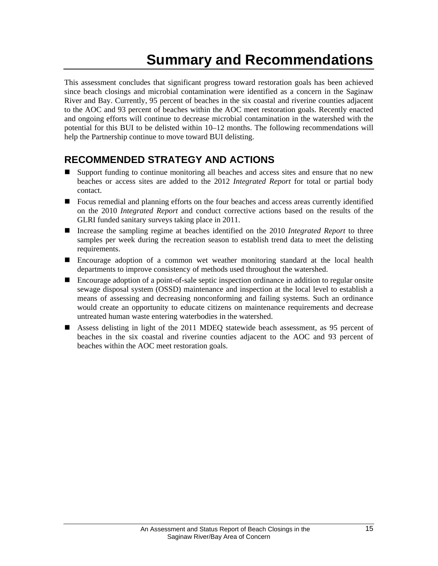# **Summary and Recommendations**

This assessment concludes that significant progress toward restoration goals has been achieved since beach closings and microbial contamination were identified as a concern in the Saginaw River and Bay. Currently, 95 percent of beaches in the six coastal and riverine counties adjacent to the AOC and 93 percent of beaches within the AOC meet restoration goals. Recently enacted and ongoing efforts will continue to decrease microbial contamination in the watershed with the potential for this BUI to be delisted within 10–12 months. The following recommendations will help the Partnership continue to move toward BUI delisting.

### **RECOMMENDED STRATEGY AND ACTIONS**

- Support funding to continue monitoring all beaches and access sites and ensure that no new beaches or access sites are added to the 2012 *Integrated Report* for total or partial body contact.
- Focus remedial and planning efforts on the four beaches and access areas currently identified on the 2010 *Integrated Report* and conduct corrective actions based on the results of the GLRI funded sanitary surveys taking place in 2011.
- Increase the sampling regime at beaches identified on the 2010 *Integrated Report* to three samples per week during the recreation season to establish trend data to meet the delisting requirements.
- Encourage adoption of a common wet weather monitoring standard at the local health departments to improve consistency of methods used throughout the watershed.
- Encourage adoption of a point-of-sale septic inspection ordinance in addition to regular onsite sewage disposal system (OSSD) maintenance and inspection at the local level to establish a means of assessing and decreasing nonconforming and failing systems. Such an ordinance would create an opportunity to educate citizens on maintenance requirements and decrease untreated human waste entering waterbodies in the watershed.
- Assess delisting in light of the 2011 MDEQ statewide beach assessment, as 95 percent of beaches in the six coastal and riverine counties adjacent to the AOC and 93 percent of beaches within the AOC meet restoration goals.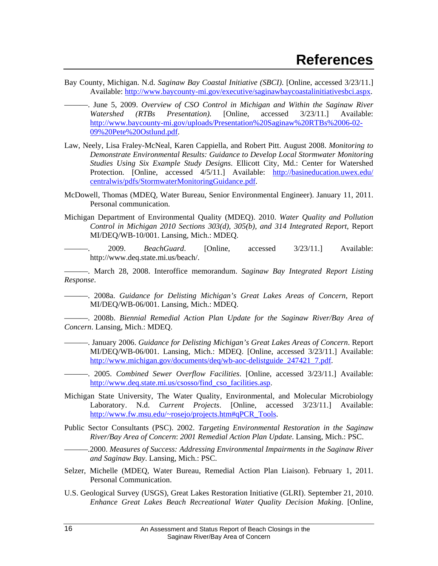- Bay County, Michigan. N.d. *Saginaw Bay Coastal Initiative (SBCI)*. [Online, accessed 3/23/11.] Available: http://www.baycounty-mi.gov/executive/saginawbaycoastalinitiativesbci.aspx.
	- ———. June 5, 2009. *Overview of CSO Control in Michigan and Within the Saginaw River Watershed (RTBs Presentation).* [Online, accessed 3/23/11.] Available: http://www.baycounty-mi.gov/uploads/Presentation%20Saginaw%20RTBs%2006-02- 09%20Pete%20Ostlund.pdf.
- Law, Neely, Lisa Fraley-McNeal, Karen Cappiella, and Robert Pitt. August 2008. *Monitoring to Demonstrate Environmental Results: Guidance to Develop Local Stormwater Monitoring Studies Using Six Example Study Designs*. Ellicott City, Md.: Center for Watershed Protection. [Online, accessed 4/5/11.] Available: http://basineducation.uwex.edu/ centralwis/pdfs/StormwaterMonitoringGuidance.pdf.
- McDowell, Thomas (MDEQ, Water Bureau, Senior Environmental Engineer). January 11, 2011. Personal communication.
- Michigan Department of Environmental Quality (MDEQ). 2010. *Water Quality and Pollution Control in Michigan 2010 Sections 303(d), 305(b), and 314 Integrated Report*, Report MI/DEQ/WB-10/001. Lansing, Mich.: MDEQ.

———. 2009. *BeachGuard*. [Online, accessed 3/23/11.] Available: http://www.deq.state.mi.us/beach/.

———. March 28, 2008. Interoffice memorandum. *Saginaw Bay Integrated Report Listing Response*.

———. 2008a. *Guidance for Delisting Michigan's Great Lakes Areas of Concern*, Report MI/DEQ/WB-06/001. Lansing, Mich.: MDEQ.

———. 2008b. *Biennial Remedial Action Plan Update for the Saginaw River/Bay Area of Concern*. Lansing, Mich.: MDEQ.

- ———. January 2006. *Guidance for Delisting Michigan's Great Lakes Areas of Concern*. Report MI/DEQ/WB-06/001. Lansing, Mich.: MDEQ. [Online, accessed 3/23/11.] Available: http://www.michigan.gov/documents/deq/wb-aoc-delistguide\_247421\_7.pdf.
	- ———. 2005. *Combined Sewer Overflow Facilities*. [Online, accessed 3/23/11.] Available: http://www.deq.state.mi.us/csosso/find\_cso\_facilities.asp.
- Michigan State University, The Water Quality, Environmental, and Molecular Microbiology Laboratory. N.d. *Current Projects*. [Online, accessed 3/23/11.] Available: http://www.fw.msu.edu/~rosejo/projects.htm#qPCR\_Tools.
- Public Sector Consultants (PSC). 2002. *Targeting Environmental Restoration in the Saginaw River/Bay Area of Concern*: *2001 Remedial Action Plan Update*. Lansing, Mich.: PSC.
- ———.2000. *Measures of Success: Addressing Environmental Impairments in the Saginaw River and Saginaw Bay*. Lansing, Mich.: PSC.
- Selzer, Michelle (MDEQ, Water Bureau, Remedial Action Plan Liaison). February 1, 2011. Personal Communication.
- U.S. Geological Survey (USGS), Great Lakes Restoration Initiative (GLRI). September 21, 2010. *Enhance Great Lakes Beach Recreational Water Quality Decision Making*. [Online,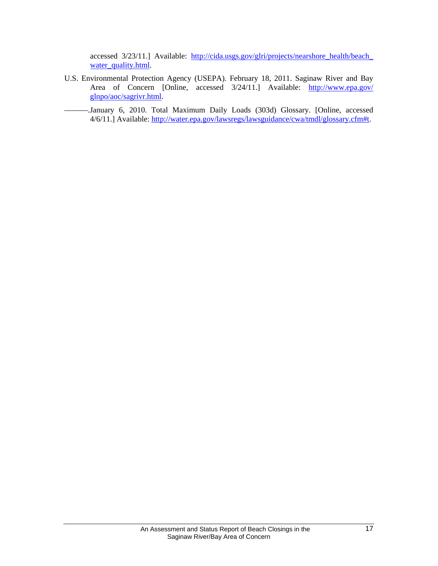accessed 3/23/11.] Available: http://cida.usgs.gov/glri/projects/nearshore\_health/beach\_ water\_quality.html.

- U.S. Environmental Protection Agency (USEPA). February 18, 2011. Saginaw River and Bay Area of Concern [Online, accessed  $3/24/11$ .] Available: http://www.epa.gov/ glnpo/aoc/sagrivr.html.
- -January 6, 2010. Total Maximum Daily Loads (303d) Glossary. [Online, accessed 4/6/11.] Available: http://water.epa.gov/lawsregs/lawsguidance/cwa/tmdl/glossary.cfm#t.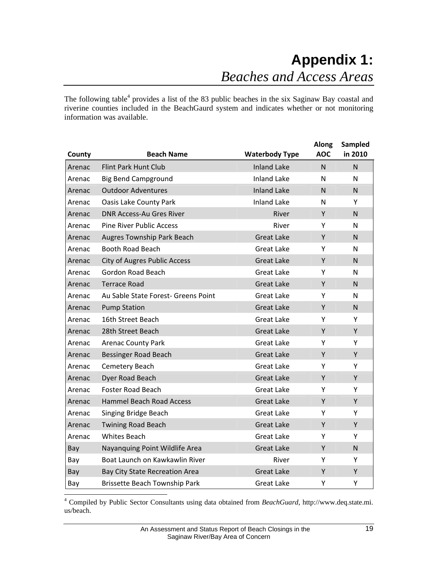The following table<sup>4</sup> provides a list of the 83 public beaches in the six Saginaw Bay coastal and riverine counties included in the BeachGaurd system and indicates whether or not monitoring information was available.

| County | <b>Beach Name</b>                     | <b>Waterbody Type</b> | <b>Along</b><br><b>AOC</b> | Sampled<br>in 2010 |
|--------|---------------------------------------|-----------------------|----------------------------|--------------------|
| Arenac | <b>Flint Park Hunt Club</b>           | <b>Inland Lake</b>    | N                          | N                  |
| Arenac | <b>Big Bend Campground</b>            | <b>Inland Lake</b>    | N                          | N                  |
| Arenac | <b>Outdoor Adventures</b>             | <b>Inland Lake</b>    | N.                         | N                  |
| Arenac | <b>Oasis Lake County Park</b>         | <b>Inland Lake</b>    | N                          | Y                  |
| Arenac | <b>DNR Access-Au Gres River</b>       | River                 | Y                          | N                  |
| Arenac | <b>Pine River Public Access</b>       | River                 | Y                          | N                  |
| Arenac | Augres Township Park Beach            | <b>Great Lake</b>     | Y                          | N                  |
| Arenac | Booth Road Beach                      | <b>Great Lake</b>     | Y                          | $\mathsf{N}$       |
| Arenac | <b>City of Augres Public Access</b>   | <b>Great Lake</b>     | Y                          | N                  |
| Arenac | Gordon Road Beach                     | Great Lake            | Y                          | N                  |
| Arenac | <b>Terrace Road</b>                   | <b>Great Lake</b>     | Y                          | N                  |
| Arenac | Au Sable State Forest- Greens Point   | <b>Great Lake</b>     | Υ                          | N                  |
| Arenac | <b>Pump Station</b>                   | <b>Great Lake</b>     | Y                          | N                  |
| Arenac | 16th Street Beach                     | <b>Great Lake</b>     | Υ                          | Y                  |
| Arenac | 28th Street Beach                     | <b>Great Lake</b>     | Y                          | Y                  |
| Arenac | <b>Arenac County Park</b>             | Great Lake            | Y                          | Y                  |
| Arenac | <b>Bessinger Road Beach</b>           | <b>Great Lake</b>     | Y                          | Y                  |
| Arenac | Cemetery Beach                        | <b>Great Lake</b>     | Y                          | Y                  |
| Arenac | Dyer Road Beach                       | <b>Great Lake</b>     | Y                          | Y                  |
| Arenac | <b>Foster Road Beach</b>              | <b>Great Lake</b>     | Υ                          | Y                  |
| Arenac | <b>Hammel Beach Road Access</b>       | <b>Great Lake</b>     | Y                          | Y                  |
| Arenac | Singing Bridge Beach                  | <b>Great Lake</b>     | Y                          | Υ                  |
| Arenac | <b>Twining Road Beach</b>             | <b>Great Lake</b>     | Y                          | Y                  |
| Arenac | <b>Whites Beach</b>                   | <b>Great Lake</b>     | Υ                          | Y                  |
| Bay    | Nayanquing Point Wildlife Area        | <b>Great Lake</b>     | Y                          | $\mathsf{N}$       |
| Bay    | Boat Launch on Kawkawlin River        | River                 | Y                          | Y                  |
| Bay    | <b>Bay City State Recreation Area</b> | <b>Great Lake</b>     | Y                          | Y                  |
| Bay    | <b>Brissette Beach Township Park</b>  | <b>Great Lake</b>     | Υ                          | Υ                  |

 4 Compiled by Public Sector Consultants using data obtained from *BeachGuard*, http://www.deq.state.mi. us/beach.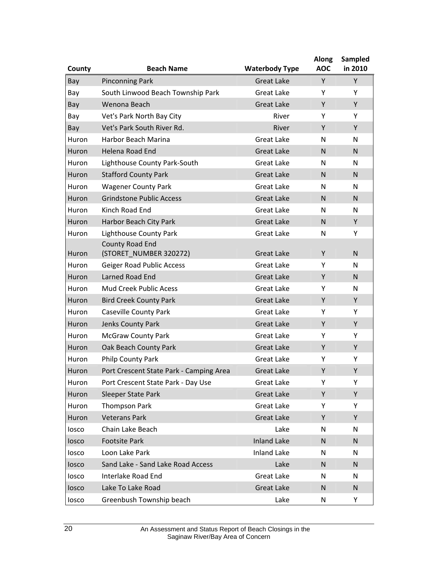| County | <b>Beach Name</b>                       | <b>Waterbody Type</b> | <b>Along</b><br><b>AOC</b> | Sampled<br>in 2010 |
|--------|-----------------------------------------|-----------------------|----------------------------|--------------------|
| Bay    | <b>Pinconning Park</b>                  | <b>Great Lake</b>     | Y                          | Y                  |
| Bay    | South Linwood Beach Township Park       | <b>Great Lake</b>     | Y                          | Y                  |
| Bay    | Wenona Beach                            | <b>Great Lake</b>     | Y                          | Y                  |
| Bay    | Vet's Park North Bay City               | River                 | Y                          | Y                  |
| Bay    | Vet's Park South River Rd.              | River                 | Y                          | Y                  |
| Huron  | Harbor Beach Marina                     | <b>Great Lake</b>     | N                          | N                  |
| Huron  | Helena Road End                         | <b>Great Lake</b>     | $\mathsf{N}$               | N                  |
| Huron  | Lighthouse County Park-South            | <b>Great Lake</b>     | N                          | N                  |
| Huron  | <b>Stafford County Park</b>             | <b>Great Lake</b>     | $\mathsf{N}$               | N                  |
| Huron  | <b>Wagener County Park</b>              | <b>Great Lake</b>     | N                          | N                  |
| Huron  | <b>Grindstone Public Access</b>         | <b>Great Lake</b>     | N                          | $\mathsf{N}$       |
| Huron  | Kinch Road End                          | <b>Great Lake</b>     | N                          | N                  |
| Huron  | Harbor Beach City Park                  | <b>Great Lake</b>     | $\mathsf{N}$               | Y                  |
| Huron  | Lighthouse County Park                  | <b>Great Lake</b>     | N                          | Y                  |
|        | <b>County Road End</b>                  |                       |                            |                    |
| Huron  | (STORET_NUMBER 320272)                  | <b>Great Lake</b>     | Y                          | $\mathsf{N}$       |
| Huron  | <b>Geiger Road Public Access</b>        | <b>Great Lake</b>     | Y                          | N                  |
| Huron  | Larned Road End                         | <b>Great Lake</b>     | Y                          | N                  |
| Huron  | <b>Mud Creek Public Acess</b>           | <b>Great Lake</b>     | Y                          | N                  |
| Huron  | <b>Bird Creek County Park</b>           | <b>Great Lake</b>     | Y                          | Y                  |
| Huron  | Caseville County Park                   | <b>Great Lake</b>     | Y                          | Y                  |
| Huron  | Jenks County Park                       | <b>Great Lake</b>     | Y                          | Υ                  |
| Huron  | <b>McGraw County Park</b>               | <b>Great Lake</b>     | Y                          | Y                  |
| Huron  | Oak Beach County Park                   | <b>Great Lake</b>     | Y                          | Y                  |
| Huron  | Philp County Park                       | Great Lake            | Y                          | Y                  |
| Huron  | Port Crescent State Park - Camping Area | <b>Great Lake</b>     | Y                          | Υ                  |
| Huron  | Port Crescent State Park - Day Use      | <b>Great Lake</b>     | Y                          | Υ                  |
| Huron  | <b>Sleeper State Park</b>               | <b>Great Lake</b>     | Y                          | Y                  |
| Huron  | <b>Thompson Park</b>                    | Great Lake            | Υ                          | Y                  |
| Huron  | <b>Veterans Park</b>                    | <b>Great Lake</b>     | Y                          | Y                  |
| losco  | Chain Lake Beach                        | Lake                  | N                          | N                  |
| losco  | <b>Footsite Park</b>                    | <b>Inland Lake</b>    | N                          | N                  |
| losco  | Loon Lake Park                          | <b>Inland Lake</b>    | N                          | N                  |
| losco  | Sand Lake - Sand Lake Road Access       | Lake                  | N                          | N                  |
| losco  | Interlake Road End                      | Great Lake            | N                          | N                  |
| losco  | Lake To Lake Road                       | <b>Great Lake</b>     | N                          | N                  |
| losco  | Greenbush Township beach                | Lake                  | N                          | Υ                  |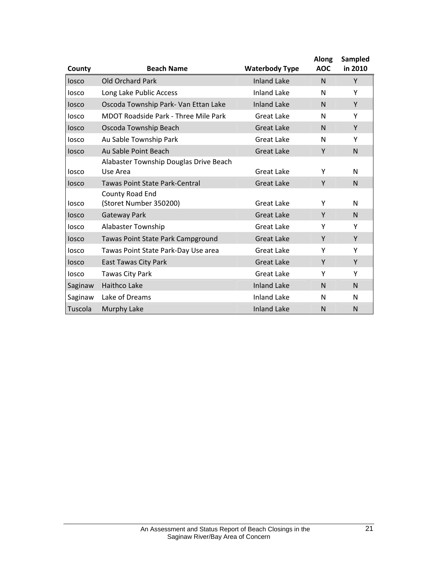| County  | <b>Beach Name</b>                                  | <b>Waterbody Type</b> | <b>Along</b><br><b>AOC</b> | Sampled<br>in 2010 |
|---------|----------------------------------------------------|-----------------------|----------------------------|--------------------|
| losco   | Old Orchard Park                                   | <b>Inland Lake</b>    | N                          | Y                  |
| losco   | Long Lake Public Access                            | <b>Inland Lake</b>    | N                          | Υ                  |
| losco   | Oscoda Township Park- Van Ettan Lake               | <b>Inland Lake</b>    | N                          | Y                  |
| losco   | MDOT Roadside Park - Three Mile Park               | <b>Great Lake</b>     | N                          | Υ                  |
| losco   | Oscoda Township Beach                              | <b>Great Lake</b>     | N                          | Y                  |
| losco   | Au Sable Township Park                             | <b>Great Lake</b>     | N                          | Υ                  |
| losco   | Au Sable Point Beach                               | <b>Great Lake</b>     | Y                          | N                  |
| losco   | Alabaster Township Douglas Drive Beach<br>Use Area | Great Lake            | Y                          | N                  |
| losco   | Tawas Point State Park-Central                     | <b>Great Lake</b>     | Y                          | N                  |
| losco   | County Road End<br>(Storet Number 350200)          | Great Lake            | Υ                          | N                  |
| losco   | Gateway Park                                       | <b>Great Lake</b>     | Y                          | N                  |
| losco   | Alabaster Township                                 | <b>Great Lake</b>     | Υ                          | Υ                  |
| losco   | Tawas Point State Park Campground                  | <b>Great Lake</b>     | Y                          | Y                  |
| losco   | Tawas Point State Park-Day Use area                | <b>Great Lake</b>     | Y                          | Y                  |
| losco   | <b>East Tawas City Park</b>                        | <b>Great Lake</b>     | Y                          | Y                  |
| losco   | Tawas City Park                                    | <b>Great Lake</b>     | Υ                          | Υ                  |
| Saginaw | <b>Haithco Lake</b>                                | <b>Inland Lake</b>    | N                          | N                  |
| Saginaw | Lake of Dreams                                     | <b>Inland Lake</b>    | N                          | N                  |
| Tuscola | Murphy Lake                                        | <b>Inland Lake</b>    | N                          | N                  |